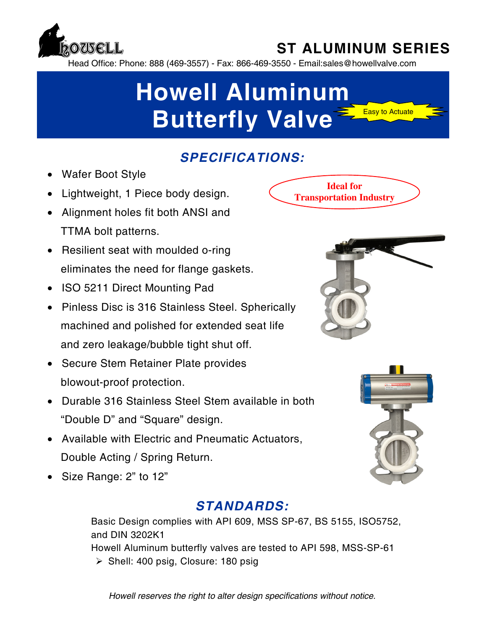

## **ST ALUMINUM SERIES**

**Ideal for Transportation Industry**

Head Office: Phone: 888 (469-3557) - Fax: 866-469-3550 - Email:sales@howellvalve.com

# **Howell Aluminum Butterfly Valve Easy to Actuate**

### *SPECIFICATIONS:*

- Wafer Boot Style
- Lightweight, 1 Piece body design.
- Alignment holes fit both ANSI and TTMA bolt patterns.
- Resilient seat with moulded o-ring eliminates the need for flange gaskets.
- ISO 5211 Direct Mounting Pad
- Pinless Disc is 316 Stainless Steel. Spherically machined and polished for extended seat life and zero leakage/bubble tight shut off.
- Secure Stem Retainer Plate provides blowout-proof protection.
- Durable 316 Stainless Steel Stem available in both "Double D" and "Square" design.
- Available with Electric and Pneumatic Actuators, Double Acting / Spring Return.
- Size Range: 2" to 12"

### *STANDARDS:*

Basic Design complies with API 609, MSS SP-67, BS 5155, ISO5752, and DIN 3202K1 Howell Aluminum butterfly valves are tested to API 598, MSS-SP-61  $\triangleright$  Shell: 400 psig, Closure: 180 psig





*Howell reserves the right to alter design specifications without notice.*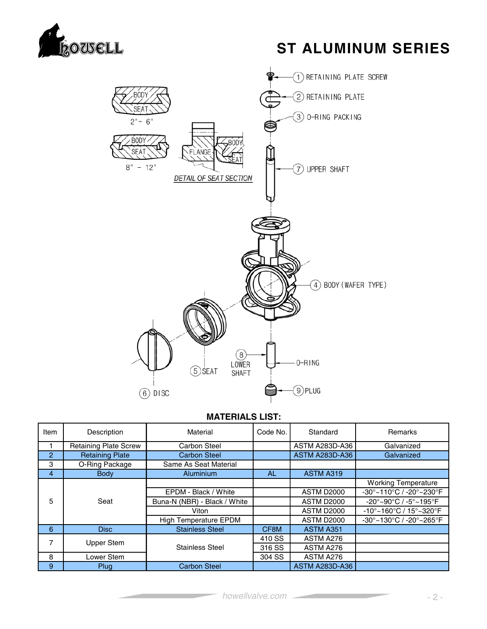

### **ST ALUMINUM SERIES**



#### **MATERIALS LIST:**

| Item           | Description                  | Material                     | Code No. | Standard              | Remarks                                                            |
|----------------|------------------------------|------------------------------|----------|-----------------------|--------------------------------------------------------------------|
|                | <b>Retaining Plate Screw</b> | Carbon Steel                 |          | <b>ASTM A283D-A36</b> | Galvanized                                                         |
| $\overline{2}$ | <b>Retaining Plate</b>       | <b>Carbon Steel</b>          |          | <b>ASTM A283D-A36</b> | Galvanized                                                         |
| 3              | O-Ring Package               | Same As Seat Material        |          |                       |                                                                    |
| 4              | <b>Body</b>                  | Aluminium                    | AL.      | <b>ASTM A319</b>      |                                                                    |
|                |                              |                              |          |                       | <b>Working Temperature</b>                                         |
|                |                              | EPDM - Black / White         |          | <b>ASTM D2000</b>     | -30°~110°C / -20°~230°F                                            |
| 5              | Seat                         | Buna-N (NBR) - Black / White |          | <b>ASTM D2000</b>     | $-20^{\circ}$ ~90 $^{\circ}$ C / -5 $^{\circ}$ ~195 $^{\circ}$ F   |
|                |                              | Viton                        |          | <b>ASTM D2000</b>     | $-10^{\circ}$ ~160 $^{\circ}$ C / 15 $^{\circ}$ ~320 $^{\circ}$ F  |
|                |                              | <b>High Temperature EPDM</b> |          | <b>ASTM D2000</b>     | $-30^{\circ}$ ~130 $^{\circ}$ C / -20 $^{\circ}$ ~265 $^{\circ}$ F |
| 6              | <b>Disc</b>                  | <b>Stainless Steel</b>       | CF8M     | ASTM A351             |                                                                    |
| 7              | Upper Stem                   |                              | 410 SS   | ASTM A276             |                                                                    |
|                |                              | <b>Stainless Steel</b>       | 316 SS   | ASTM A276             |                                                                    |
| 8              | Lower Stem                   |                              | 304 SS   | ASTM A276             |                                                                    |
| 9              | Plug                         | <b>Carbon Steel</b>          |          | <b>ASTM A283D-A36</b> |                                                                    |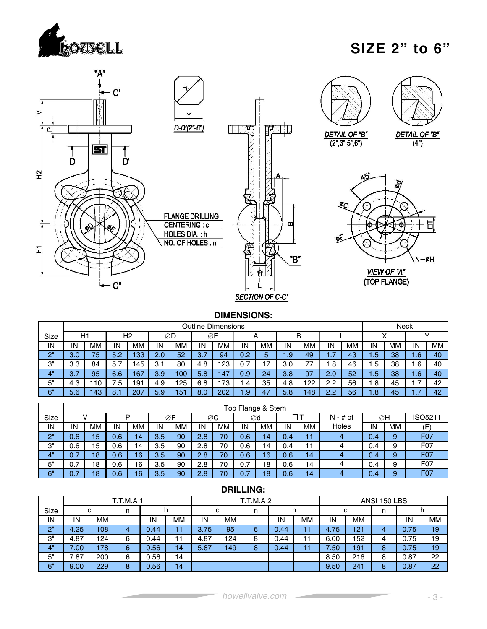

### **SIZE 2" to 6"**



#### **DIMENSIONS:**

|          |          |                                            |          |     |     |                 |                                 | <b>Outline Dimensions</b> |                 |    |     |     |     |    |      | Neck      |      |    |
|----------|----------|--------------------------------------------|----------|-----|-----|-----------------|---------------------------------|---------------------------|-----------------|----|-----|-----|-----|----|------|-----------|------|----|
| Size     |          | H1<br>H <sub>2</sub><br>ØΕ<br>B<br>ØD<br>A |          |     |     |                 |                                 |                           |                 |    |     |     |     |    |      |           |      |    |
| IN       | IN       | ΜМ<br><b>MM</b><br>IN<br>МM<br>IN          |          |     |     |                 |                                 | МM                        | IN              | ΜМ | IN  | ΜМ  | IN  | ΜМ | ΙN   | <b>MM</b> | IN   | ΜМ |
| $\Omega$ | 3.0      | 75                                         | 5.2      | 133 | 2.0 | 52              | $\overline{\phantom{0}}$<br>3.7 | 94                        | 0.2             | b  | .9' | 49  | .   | 43 | 45   | 38        | - 67 | 40 |
| 3"       | 3.3      | 84                                         | 5.7<br>⇁ | 45  | 3.1 | 80              | 4.8                             | 123                       | 0.7             |    | 3.0 |     | .8  | 46 | . .ხ | 38        | . .6 | 40 |
| 4"       | ⇁<br>3.7 | 95                                         | 6.6      | 167 | 3.9 | 100             | 5.8                             | 147                       | 0.9             | 24 | 3.8 | 97  | 2.0 | 52 | 45   | 38        | l.6  | 40 |
| 5"       | 4.3      | 10                                         | 7.5      | 191 | 4.9 | 25              | 6.8                             | 73                        | $\cdot$         | 35 | 4.8 | 122 | 2.2 | 56 | .8   | 45        | .    | 42 |
| 6"       | 5.6      | <b>43</b>                                  | o<br>o.  | 207 | 5.9 | 15 <sup>1</sup> | 8.0                             | 202                       | $\overline{.9}$ |    | 5.8 | 48  | 2.2 | 56 | .o   | 45        | .    | 42 |

|      |          |    |     |    |     |           |     |    |     | Top Flange & Stem |     |    |            |     |    |                  |
|------|----------|----|-----|----|-----|-----------|-----|----|-----|-------------------|-----|----|------------|-----|----|------------------|
| Size |          |    |     | D  |     | ØF        |     | ØC |     | Ød                |     | דר | $N - #$ of |     | ØΗ | ISO5211          |
| IN   | IN       | МM | IN  | MМ | IN  | <b>MM</b> | IN  | МM | IN  | ΜМ                | IN  | ΜМ | Holes      | IN  | MМ | ίF               |
| 2"   | 0.6      | 15 | 0.6 | 14 | 3.5 | 90        | 2.8 | 70 | 0.6 | 14                | 0.4 | н  | 4          | 0.4 | 9  | F07              |
| З"   | 0.6      | 15 | 0.6 | 14 | 3.5 | 90        | 2.8 | 70 | 0.6 | 4                 | 0.4 | 11 |            | 0.4 | 9  | F <sub>0</sub> 7 |
| 4"   | 0.7      | 18 | 0.6 | 16 | 3.5 | 90        | 2.8 | 70 | 0.6 | 16                | 0.6 | 14 |            | 0.4 | 9  | F <sub>0</sub> 7 |
| 5"   | 0.7      | 18 | 0.6 | 16 | 3.5 | 90        | 2.8 | 70 | 0.7 | 8                 | 0.6 | 14 |            | 0.4 | 9  | F <sub>0</sub> 7 |
| 6"   | -<br>0.7 | 18 | 0.6 | 16 | 3.5 | 90        | 2.8 | 70 | 0.7 | 18                | 0.6 | 14 | 4          | 0.4 | 9  | F <sub>0</sub> 7 |

|      | --------- |                       |   |      |    |        |     |                 |      |    |      |           |              |      |           |
|------|-----------|-----------------------|---|------|----|--------|-----|-----------------|------|----|------|-----------|--------------|------|-----------|
|      |           | <b>T.T.M.A 1</b><br>c |   |      |    |        |     | <b>T.T.M.A2</b> |      |    |      |           | ANSI 150 LBS |      |           |
| Size |           |                       | n |      |    | с<br>n |     |                 |      |    | с    | n         |              |      |           |
| IN   | IN        | MМ                    |   | IN   | MМ | IN     | MМ  |                 | IN   | MМ | IN   | <b>MM</b> |              | IN   | <b>MM</b> |
| 2"   | 4.25      | 108                   | 4 | 0.44 | 11 | 3.75   | 95  | 6               | 0.44 | 11 | 4.75 | 121       | 4            | 0.75 | 19        |
| 3"   | 4.87      | 124                   | 6 | 0.44 | 11 | 4.87   | 124 | 8               | 0.44 | 11 | 6.00 | 152       |              | 0.75 | 19        |
| 4"   | 7.00      | 178                   | 6 | 0.56 | 14 | 5.87   | 149 | 8               | 0.44 | 11 | 7.50 | 191       | 8            | 0.75 | 19        |
| 5"   | 7.87      | 200                   | 6 | 0.56 | 14 |        |     |                 |      |    | 8.50 | 216       | 8            | 0.87 | 22        |
| 6"   | 9.00      | 229                   | 8 | 0.56 | 14 |        |     |                 |      |    | 9.50 | 241       | 8            | 0.87 | 22        |

#### **DRILLING:**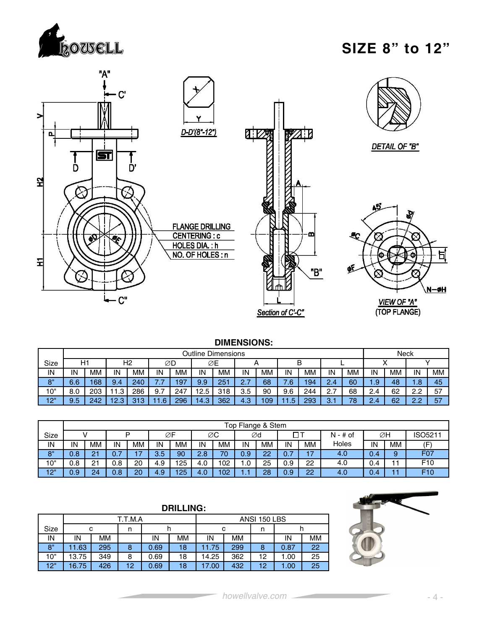

### **SIZE 8" to 12"**



#### **DIMENSIONS:**

|      |                                                                                                                |                                |             |     |     |     |      | <b>Outline Dimensions</b> |         |    |     |     |                    |    |          | Neck |                    |    |
|------|----------------------------------------------------------------------------------------------------------------|--------------------------------|-------------|-----|-----|-----|------|---------------------------|---------|----|-----|-----|--------------------|----|----------|------|--------------------|----|
| Size |                                                                                                                | H1<br>Н2<br>ØΕ<br>в<br>∅D<br>Α |             |     |     |     |      |                           |         |    |     |     |                    |    |          |      |                    |    |
| IN   | IN                                                                                                             | MМ                             | IN          | MM  | IN  | MM  | IN   | МM                        | IN      | ΜМ | IN  | МM  | IN                 | MМ | IN       | MМ   | IN                 | MM |
| 8"   | 6.6                                                                                                            | 168                            | 9.4         | 240 | . . | 197 | 9.9  | 251                       | 27<br>. | 68 | 6.' | 194 | 2.4                | 60 | تتعا     | 48   | . .                | 45 |
| 10"  | 8.0                                                                                                            | 203                            | ∣ 1<br>. .3 | 286 | 9.7 | 247 | 12.5 | 318                       | 3.5     | 90 | 9.6 | 244 | $\sim$ $\sim$      | 68 | $\leq 4$ | 62   | $\cap$<br><u>.</u> | 57 |
| 12"  | 296<br>362<br>293<br>242<br>212<br>9.5<br>4.3<br>09 ا<br>12<br>.6 <sub>5</sub><br>14.3<br>45<br>-4<br><u>.</u> |                                |             |     |     |     |      |                           |         | 70 | . . | 62  | $\sim$<br><u>.</u> | 57 |          |      |                    |    |

|      |     |           |                                 |     |     |           |     |           |     | Top Flange & Stem |     |         |            |     |           |                  |
|------|-----|-----------|---------------------------------|-----|-----|-----------|-----|-----------|-----|-------------------|-----|---------|------------|-----|-----------|------------------|
| Size |     |           |                                 | P   |     | ØF        |     | ØС        |     | ∅d                |     | ΠΤ      | $N - #$ of |     | ∅H        | ISO5211          |
| IN   | IN  | <b>MM</b> | IN                              | MM  | IN  | <b>MM</b> | IN  | <b>MM</b> | IN  | МM                | IN  | МM      | Holes      | IN  | <b>MM</b> |                  |
| 8"   | 0.8 | 21        | $\overline{\phantom{a}}$<br>0.7 | כ ו | 3.5 | 90        | 2.8 | 70        | 0.9 | 22                | 0.7 | $4 - 7$ | 4.0        | 0.4 | 9         | F <sub>0</sub> 7 |
| 10"  | 0.8 | 21        | 0.8                             | 20  | 4.9 | 125       | 4.0 | 102       | .0  | 25                | 0.9 | 22      | 4.0        | 0.4 |           | F <sub>10</sub>  |
| 12"  | 0.9 | 24        | 0.8                             | 20  | 4.9 | 125       | 4.0 | 102       |     | 28                | 0.9 | 22      | 4.0        | 0.4 |           | F <sub>10</sub>  |

|      |       |                                                      |         |      | <b>DRILLING:</b> |       |     |              |      |    |  |  |
|------|-------|------------------------------------------------------|---------|------|------------------|-------|-----|--------------|------|----|--|--|
|      |       |                                                      | T.T.M.A |      |                  |       |     | ANSI 150 LBS |      |    |  |  |
| Size |       | с<br>с<br>n<br>n<br>n<br>n                           |         |      |                  |       |     |              |      |    |  |  |
| IN   | ΙN    | <b>MM</b><br><b>MM</b><br>MМ<br>MМ<br>IN<br>IN<br>IN |         |      |                  |       |     |              |      |    |  |  |
| 8"   | 11.63 | 295                                                  | 8       | 0.69 | 18               | 11.75 | 299 | 8            | 0.87 | 22 |  |  |
| 10"  | 13.75 | 349                                                  | 8       | 0.69 | 18               | 14.25 | 362 | 12           | 1.00 | 25 |  |  |
| 12"  | 16.75 | 426                                                  | 12      | 0.69 | 18               | 17.00 | 432 | 12           | 1.00 | 25 |  |  |

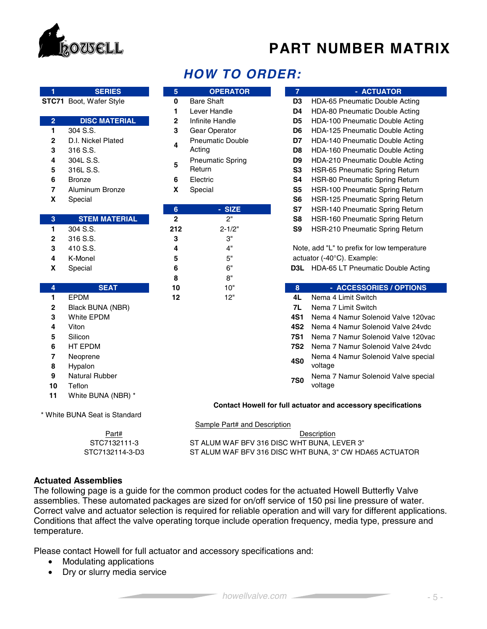

### **PART NUMBER MATRIX**

| 1                       | <b>SERIES</b>                 | 5              | <b>OPERATOR</b>              | $\overline{7}$ | - ACTUATOR                                                    |
|-------------------------|-------------------------------|----------------|------------------------------|----------------|---------------------------------------------------------------|
|                         | STC71 Boot, Wafer Style       | $\mathbf{0}$   | <b>Bare Shaft</b>            | D <sub>3</sub> | HDA-65 Pneumatic Double Acting                                |
|                         |                               | 1              | Lever Handle                 | D4             | HDA-80 Pneumatic Double Acting                                |
| $\overline{2}$          | <b>DISC MATERIAL</b>          | $\mathbf{2}$   | Infinite Handle              | D <sub>5</sub> | HDA-100 Pneumatic Double Acting                               |
| $\mathbf{1}$            | 304 S.S.                      | 3              | Gear Operator                | D6             | HDA-125 Pneumatic Double Acting                               |
| $\mathbf 2$             | D.I. Nickel Plated            | 4              | <b>Pneumatic Double</b>      | D7             | <b>HDA-140 Pneumatic Double Acting</b>                        |
| 3                       | 316 S.S.                      |                | Acting                       | D8             | HDA-160 Pneumatic Double Acting                               |
| 4                       | 304L S.S.                     |                | <b>Pneumatic Spring</b>      | D <sub>9</sub> | HDA-210 Pneumatic Double Acting                               |
| 5                       | 316L S.S.                     | 5              | Return                       | S <sub>3</sub> | HSR-65 Pneumatic Spring Return                                |
| 6                       | <b>Bronze</b>                 | 6              | Electric                     | S4             | HSR-80 Pneumatic Spring Return                                |
| $\overline{7}$          | Aluminum Bronze               | X              | Special                      | S <sub>5</sub> | HSR-100 Pneumatic Spring Return                               |
| X                       | Special                       |                |                              | S <sub>6</sub> | HSR-125 Pneumatic Spring Return                               |
|                         |                               | $6\phantom{a}$ | - SIZE                       | S7             | HSR-140 Pneumatic Spring Return                               |
| 3                       | <b>STEM MATERIAL</b>          | $\overline{2}$ | 2 <sup>n</sup>               | S <sub>8</sub> | HSR-160 Pneumatic Spring Return                               |
| $\mathbf{1}$            | 304 S.S.                      | 212            | $2 - 1/2"$                   | S <sub>9</sub> | HSR-210 Pneumatic Spring Return                               |
| $\mathbf 2$             | 316 S.S.                      | 3              | 3"                           |                |                                                               |
| 3                       | 410 S.S.                      | 4              | 4"                           |                | Note, add "L" to prefix for low temperature                   |
| 4                       | K-Monel                       | 5              | 5"                           |                | actuator (-40°C). Example:                                    |
| X                       | Special                       | 6              | 6"                           |                | D3L HDA-65 LT Pneumatic Double Acting                         |
|                         |                               | 8              | 8"                           |                |                                                               |
| $\overline{\mathbf{4}}$ | <b>SEAT</b>                   | 10             | 10"                          | $\bf{8}$       | - ACCESSORIES / OPTIONS                                       |
| $\mathbf{1}$            | EPDM                          | 12             | 12"                          | 4L             | Nema 4 Limit Switch                                           |
| $\mathbf 2$             | Black BUNA (NBR)              |                |                              | 7L             | Nema 7 Limit Switch                                           |
| 3                       | White EPDM                    |                |                              | <b>4S1</b>     | Nema 4 Namur Solenoid Valve 120 vac                           |
| 4                       | Viton                         |                |                              | <b>4S2</b>     | Nema 4 Namur Solenoid Valve 24vdc                             |
| 5                       | Silicon                       |                |                              | <b>7S1</b>     | Nema 7 Namur Solenoid Valve 120vac                            |
| 6                       | HT EPDM                       |                |                              | <b>7S2</b>     | Nema 7 Namur Solenoid Valve 24vdc                             |
| $\overline{7}$          | Neoprene                      |                |                              |                | Nema 4 Namur Solenoid Valve special                           |
| 8                       | Hypalon                       |                |                              | <b>4S0</b>     | voltage                                                       |
| 9                       | <b>Natural Rubber</b>         |                |                              |                | Nema 7 Namur Solenoid Valve special                           |
| 10                      | Teflon                        |                |                              | <b>7S0</b>     | voltage                                                       |
| 11                      | White BUNA (NBR) *            |                |                              |                |                                                               |
|                         |                               |                |                              |                | Contact Howell for full actuator and accessory specifications |
|                         | * White BUNA Seat is Standard |                |                              |                |                                                               |
|                         |                               |                | Sample Part# and Description |                |                                                               |
|                         | Part#                         |                |                              |                | Description                                                   |
|                         |                               |                |                              |                |                                                               |

### *HOW TO ORDER:*

| 5                       | <b>OPERATOR</b>         | $\overline{7}$  | - ACTUATOR                                  |
|-------------------------|-------------------------|-----------------|---------------------------------------------|
| 0                       | <b>Bare Shaft</b>       | D3              | <b>HDA-65 Pneumatic Double Acting</b>       |
| 1                       | Lever Handle            | D4              | <b>HDA-80 Pneumatic Double Acting</b>       |
| 2                       | Infinite Handle         | D <sub>5</sub>  | <b>HDA-100 Pneumatic Double Acting</b>      |
| 3                       | Gear Operator           | D <sub>6</sub>  | <b>HDA-125 Pneumatic Double Acting</b>      |
|                         | <b>Pneumatic Double</b> | D7              | <b>HDA-140 Pneumatic Double Acting</b>      |
| 4                       | Acting                  | D8              | <b>HDA-160 Pneumatic Double Acting</b>      |
|                         | <b>Pneumatic Spring</b> | D9              | HDA-210 Pneumatic Double Acting             |
| 5                       | Return                  | S3              | <b>HSR-65 Pneumatic Spring Return</b>       |
| 6                       | Electric                | S4              | <b>HSR-80 Pneumatic Spring Return</b>       |
| Χ                       | Special                 | S <sub>5</sub>  | <b>HSR-100 Pneumatic Spring Return</b>      |
|                         |                         | S6              | <b>HSR-125 Pneumatic Spring Return</b>      |
| 6                       | - SIZE                  | S7              | <b>HSR-140 Pneumatic Spring Return</b>      |
| $\overline{\mathbf{2}}$ | 2"                      | S8              | <b>HSR-160 Pneumatic Spring Return</b>      |
| 12                      | $2 - 1/2"$              | S9              | <b>HSR-210 Pneumatic Spring Return</b>      |
| 3                       | 3"                      |                 |                                             |
| 4                       | 4"                      |                 | Note, add "L" to prefix for low temperature |
| 5                       | 5"                      |                 | actuator (-40°C). Example:                  |
| 6                       | 6"                      |                 | D3L HDA-65 LT Pneumatic Double Acting       |
| 8                       | 8"                      |                 |                                             |
| 0                       | 10"                     | 8               | - ACCESSORIES / OPTIONS                     |
| $\overline{\mathbf{2}}$ | 12"                     | 4L              | Nema 4 Limit Switch                         |
|                         |                         | 7L              | Nema 7 Limit Switch                         |
|                         |                         | <b>4S1</b>      | Nema 4 Namur Solenoid Valve 120vac          |
|                         |                         | 4S <sub>2</sub> | Nema 4 Namur Solenoid Valve 24vdc           |
|                         |                         | 7S1             | Nema 7 Namur Solenoid Valve 120vac          |

- **4S0** Nema 4 Namur Solenoid Valve special voltage
- **7S0** Nema 7 Namur Solenoid Valve special voltage

#### **Contact Howell for full actuator and accessory specifications**

#### Part# and Description

STC7132111-3 ST ALUM WAF BFV 316 DISC WHT BUNA, LEVER 3" STC7132114-3-D3 ST ALUM WAF BFV 316 DISC WHT BUNA, 3" CW HDA65 ACTUATOR **Description** 

#### **Actuated Assemblies**

The following page is a guide for the common product codes for the actuated Howell Butterfly Valve assemblies. These automated packages are sized for on/off service of 150 psi line pressure of water. Correct valve and actuator selection is required for reliable operation and will vary for different applications. Conditions that affect the valve operating torque include operation frequency, media type, pressure and temperature.

Please contact Howell for full actuator and accessory specifications and:

- Modulating applications
- Dry or slurry media service